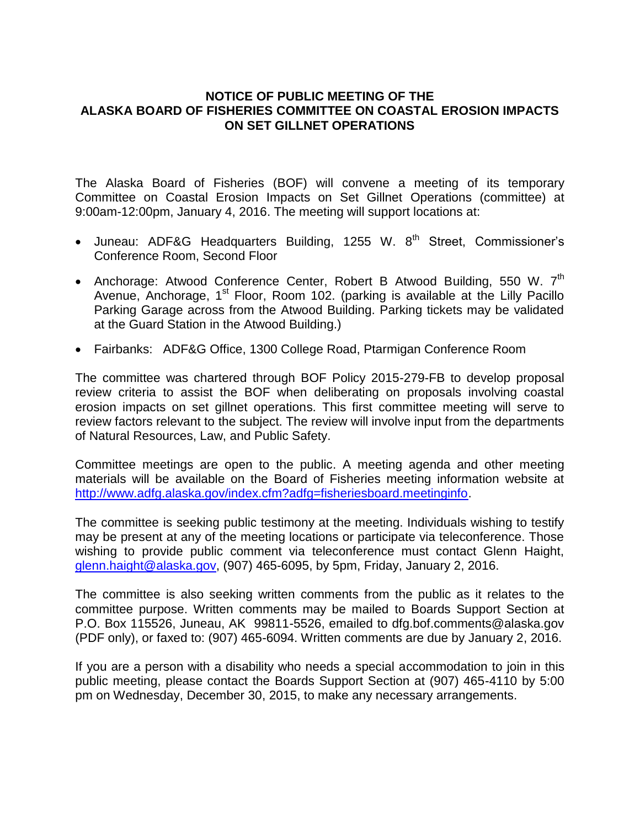## **NOTICE OF PUBLIC MEETING OF THE ALASKA BOARD OF FISHERIES COMMITTEE ON COASTAL EROSION IMPACTS ON SET GILLNET OPERATIONS**

The Alaska Board of Fisheries (BOF) will convene a meeting of its temporary Committee on Coastal Erosion Impacts on Set Gillnet Operations (committee) at 9:00am-12:00pm, January 4, 2016. The meeting will support locations at:

- Juneau: ADF&G Headquarters Building, 1255 W. 8<sup>th</sup> Street, Commissioner's Conference Room, Second Floor
- Anchorage: Atwood Conference Center, Robert B Atwood Building, 550 W. 7<sup>th</sup> Avenue, Anchorage, 1<sup>st</sup> Floor, Room 102. (parking is available at the Lilly Pacillo Parking Garage across from the Atwood Building. Parking tickets may be validated at the Guard Station in the Atwood Building.)
- Fairbanks: ADF&G Office, 1300 College Road, Ptarmigan Conference Room

The committee was chartered through BOF Policy 2015-279-FB to develop proposal review criteria to assist the BOF when deliberating on proposals involving coastal erosion impacts on set gillnet operations. This first committee meeting will serve to review factors relevant to the subject. The review will involve input from the departments of Natural Resources, Law, and Public Safety.

Committee meetings are open to the public. A meeting agenda and other meeting materials will be available on the Board of Fisheries meeting information website at [http://www.adfg.alaska.gov/index.cfm?adfg=fisheriesboard.meetinginfo.](http://www.adfg.alaska.gov/index.cfm?adfg=fisheriesboard.meetinginfo)

The committee is seeking public testimony at the meeting. Individuals wishing to testify may be present at any of the meeting locations or participate via teleconference. Those wishing to provide public comment via teleconference must contact Glenn Haight, [glenn.haight@alaska.gov,](mailto:glenn.haight@alaska.gov) (907) 465-6095, by 5pm, Friday, January 2, 2016.

The committee is also seeking written comments from the public as it relates to the committee purpose. Written comments may be mailed to Boards Support Section at P.O. Box 115526, Juneau, AK 99811-5526, emailed to dfg.bof.comments@alaska.gov (PDF only), or faxed to: (907) 465-6094. Written comments are due by January 2, 2016.

If you are a person with a disability who needs a special accommodation to join in this public meeting, please contact the Boards Support Section at (907) 465-4110 by 5:00 pm on Wednesday, December 30, 2015, to make any necessary arrangements.